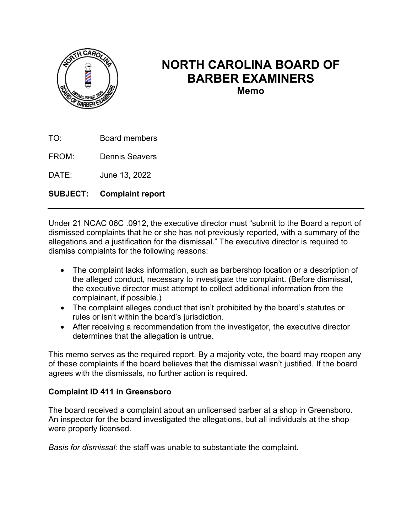

# **NORTH CAROLINA BOARD OF BARBER EXAMINERS**

**Memo** 

TO: Board members

FROM: Dennis Seavers

DATE: June 13, 2022

# **SUBJECT: Complaint report**

Under 21 NCAC 06C .0912, the executive director must "submit to the Board a report of dismissed complaints that he or she has not previously reported, with a summary of the allegations and a justification for the dismissal." The executive director is required to dismiss complaints for the following reasons:

- The complaint lacks information, such as barbershop location or a description of the alleged conduct, necessary to investigate the complaint. (Before dismissal, the executive director must attempt to collect additional information from the complainant, if possible.)
- The complaint alleges conduct that isn't prohibited by the board's statutes or rules or isn't within the board's jurisdiction.
- After receiving a recommendation from the investigator, the executive director determines that the allegation is untrue.

This memo serves as the required report. By a majority vote, the board may reopen any of these complaints if the board believes that the dismissal wasn't justified. If the board agrees with the dismissals, no further action is required.

## **Complaint ID 411 in Greensboro**

The board received a complaint about an unlicensed barber at a shop in Greensboro. An inspector for the board investigated the allegations, but all individuals at the shop were properly licensed.

*Basis for dismissal:* the staff was unable to substantiate the complaint.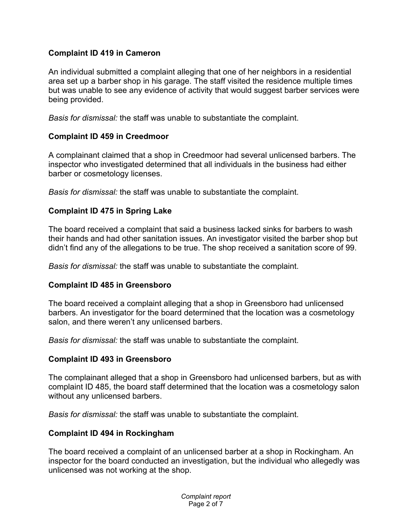## **Complaint ID 419 in Cameron**

An individual submitted a complaint alleging that one of her neighbors in a residential area set up a barber shop in his garage. The staff visited the residence multiple times but was unable to see any evidence of activity that would suggest barber services were being provided.

*Basis for dismissal:* the staff was unable to substantiate the complaint.

#### **Complaint ID 459 in Creedmoor**

A complainant claimed that a shop in Creedmoor had several unlicensed barbers. The inspector who investigated determined that all individuals in the business had either barber or cosmetology licenses.

*Basis for dismissal:* the staff was unable to substantiate the complaint.

#### **Complaint ID 475 in Spring Lake**

The board received a complaint that said a business lacked sinks for barbers to wash their hands and had other sanitation issues. An investigator visited the barber shop but didn't find any of the allegations to be true. The shop received a sanitation score of 99.

*Basis for dismissal:* the staff was unable to substantiate the complaint.

#### **Complaint ID 485 in Greensboro**

The board received a complaint alleging that a shop in Greensboro had unlicensed barbers. An investigator for the board determined that the location was a cosmetology salon, and there weren't any unlicensed barbers.

*Basis for dismissal:* the staff was unable to substantiate the complaint.

#### **Complaint ID 493 in Greensboro**

The complainant alleged that a shop in Greensboro had unlicensed barbers, but as with complaint ID 485, the board staff determined that the location was a cosmetology salon without any unlicensed barbers.

*Basis for dismissal:* the staff was unable to substantiate the complaint.

#### **Complaint ID 494 in Rockingham**

The board received a complaint of an unlicensed barber at a shop in Rockingham. An inspector for the board conducted an investigation, but the individual who allegedly was unlicensed was not working at the shop.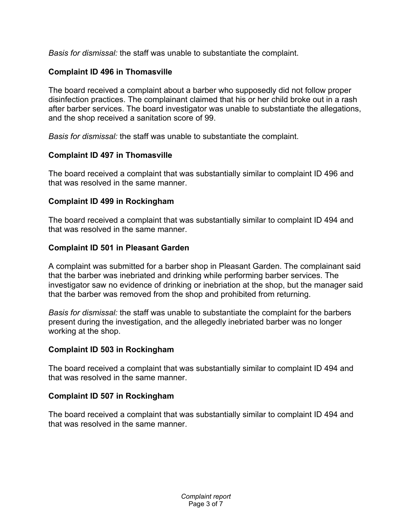*Basis for dismissal:* the staff was unable to substantiate the complaint.

# **Complaint ID 496 in Thomasville**

The board received a complaint about a barber who supposedly did not follow proper disinfection practices. The complainant claimed that his or her child broke out in a rash after barber services. The board investigator was unable to substantiate the allegations, and the shop received a sanitation score of 99.

*Basis for dismissal:* the staff was unable to substantiate the complaint.

## **Complaint ID 497 in Thomasville**

The board received a complaint that was substantially similar to complaint ID 496 and that was resolved in the same manner.

## **Complaint ID 499 in Rockingham**

The board received a complaint that was substantially similar to complaint ID 494 and that was resolved in the same manner.

# **Complaint ID 501 in Pleasant Garden**

A complaint was submitted for a barber shop in Pleasant Garden. The complainant said that the barber was inebriated and drinking while performing barber services. The investigator saw no evidence of drinking or inebriation at the shop, but the manager said that the barber was removed from the shop and prohibited from returning.

*Basis for dismissal:* the staff was unable to substantiate the complaint for the barbers present during the investigation, and the allegedly inebriated barber was no longer working at the shop.

## **Complaint ID 503 in Rockingham**

The board received a complaint that was substantially similar to complaint ID 494 and that was resolved in the same manner.

## **Complaint ID 507 in Rockingham**

The board received a complaint that was substantially similar to complaint ID 494 and that was resolved in the same manner.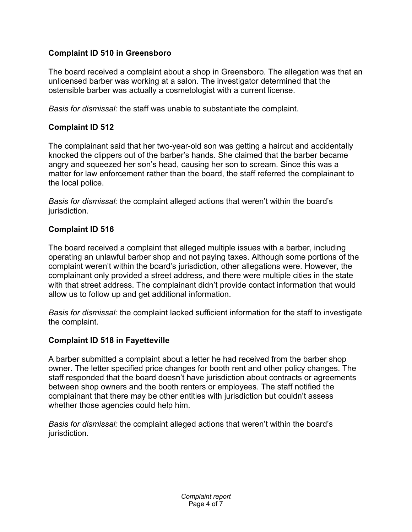# **Complaint ID 510 in Greensboro**

The board received a complaint about a shop in Greensboro. The allegation was that an unlicensed barber was working at a salon. The investigator determined that the ostensible barber was actually a cosmetologist with a current license.

*Basis for dismissal:* the staff was unable to substantiate the complaint.

# **Complaint ID 512**

The complainant said that her two-year-old son was getting a haircut and accidentally knocked the clippers out of the barber's hands. She claimed that the barber became angry and squeezed her son's head, causing her son to scream. Since this was a matter for law enforcement rather than the board, the staff referred the complainant to the local police.

*Basis for dismissal:* the complaint alleged actions that weren't within the board's jurisdiction.

## **Complaint ID 516**

The board received a complaint that alleged multiple issues with a barber, including operating an unlawful barber shop and not paying taxes. Although some portions of the complaint weren't within the board's jurisdiction, other allegations were. However, the complainant only provided a street address, and there were multiple cities in the state with that street address. The complainant didn't provide contact information that would allow us to follow up and get additional information.

*Basis for dismissal:* the complaint lacked sufficient information for the staff to investigate the complaint.

## **Complaint ID 518 in Fayetteville**

A barber submitted a complaint about a letter he had received from the barber shop owner. The letter specified price changes for booth rent and other policy changes. The staff responded that the board doesn't have jurisdiction about contracts or agreements between shop owners and the booth renters or employees. The staff notified the complainant that there may be other entities with jurisdiction but couldn't assess whether those agencies could help him.

*Basis for dismissal:* the complaint alleged actions that weren't within the board's jurisdiction.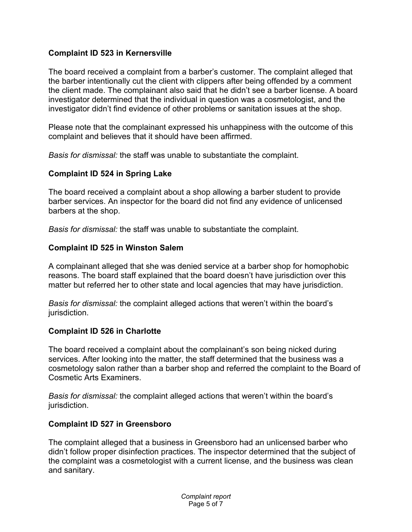#### **Complaint ID 523 in Kernersville**

The board received a complaint from a barber's customer. The complaint alleged that the barber intentionally cut the client with clippers after being offended by a comment the client made. The complainant also said that he didn't see a barber license. A board investigator determined that the individual in question was a cosmetologist, and the investigator didn't find evidence of other problems or sanitation issues at the shop.

Please note that the complainant expressed his unhappiness with the outcome of this complaint and believes that it should have been affirmed.

*Basis for dismissal:* the staff was unable to substantiate the complaint.

#### **Complaint ID 524 in Spring Lake**

The board received a complaint about a shop allowing a barber student to provide barber services. An inspector for the board did not find any evidence of unlicensed barbers at the shop.

*Basis for dismissal:* the staff was unable to substantiate the complaint.

#### **Complaint ID 525 in Winston Salem**

A complainant alleged that she was denied service at a barber shop for homophobic reasons. The board staff explained that the board doesn't have jurisdiction over this matter but referred her to other state and local agencies that may have jurisdiction.

*Basis for dismissal:* the complaint alleged actions that weren't within the board's jurisdiction.

#### **Complaint ID 526 in Charlotte**

The board received a complaint about the complainant's son being nicked during services. After looking into the matter, the staff determined that the business was a cosmetology salon rather than a barber shop and referred the complaint to the Board of Cosmetic Arts Examiners.

*Basis for dismissal:* the complaint alleged actions that weren't within the board's jurisdiction.

#### **Complaint ID 527 in Greensboro**

The complaint alleged that a business in Greensboro had an unlicensed barber who didn't follow proper disinfection practices. The inspector determined that the subject of the complaint was a cosmetologist with a current license, and the business was clean and sanitary.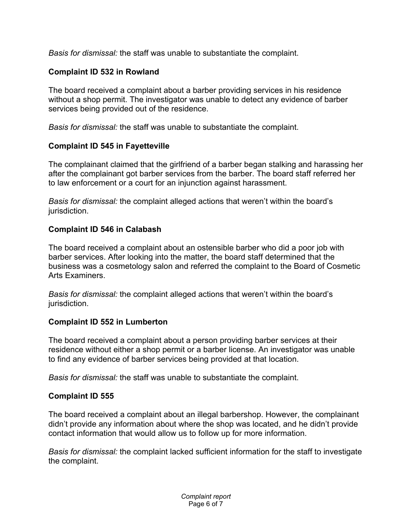*Basis for dismissal:* the staff was unable to substantiate the complaint.

# **Complaint ID 532 in Rowland**

The board received a complaint about a barber providing services in his residence without a shop permit. The investigator was unable to detect any evidence of barber services being provided out of the residence.

*Basis for dismissal:* the staff was unable to substantiate the complaint.

## **Complaint ID 545 in Fayetteville**

The complainant claimed that the girlfriend of a barber began stalking and harassing her after the complainant got barber services from the barber. The board staff referred her to law enforcement or a court for an injunction against harassment.

*Basis for dismissal:* the complaint alleged actions that weren't within the board's jurisdiction.

## **Complaint ID 546 in Calabash**

The board received a complaint about an ostensible barber who did a poor job with barber services. After looking into the matter, the board staff determined that the business was a cosmetology salon and referred the complaint to the Board of Cosmetic Arts Examiners.

*Basis for dismissal:* the complaint alleged actions that weren't within the board's jurisdiction.

## **Complaint ID 552 in Lumberton**

The board received a complaint about a person providing barber services at their residence without either a shop permit or a barber license. An investigator was unable to find any evidence of barber services being provided at that location.

*Basis for dismissal:* the staff was unable to substantiate the complaint.

## **Complaint ID 555**

The board received a complaint about an illegal barbershop. However, the complainant didn't provide any information about where the shop was located, and he didn't provide contact information that would allow us to follow up for more information.

*Basis for dismissal:* the complaint lacked sufficient information for the staff to investigate the complaint.